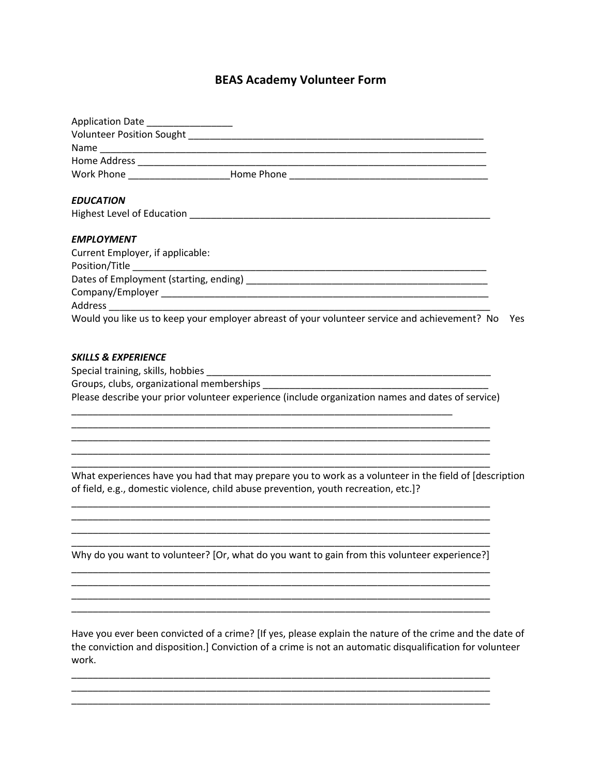## **BEAS Academy Volunteer Form**

| Application Date __________________ |                                                                                                                                                                                               |  |
|-------------------------------------|-----------------------------------------------------------------------------------------------------------------------------------------------------------------------------------------------|--|
|                                     |                                                                                                                                                                                               |  |
|                                     |                                                                                                                                                                                               |  |
|                                     |                                                                                                                                                                                               |  |
|                                     |                                                                                                                                                                                               |  |
| <b>EDUCATION</b>                    |                                                                                                                                                                                               |  |
|                                     |                                                                                                                                                                                               |  |
| <b>EMPLOYMENT</b>                   |                                                                                                                                                                                               |  |
| Current Employer, if applicable:    |                                                                                                                                                                                               |  |
|                                     |                                                                                                                                                                                               |  |
|                                     |                                                                                                                                                                                               |  |
|                                     |                                                                                                                                                                                               |  |
|                                     | Would you like us to keep your employer abreast of your volunteer service and achievement? No Yes                                                                                             |  |
| <b>SKILLS &amp; EXPERIENCE</b>      | Please describe your prior volunteer experience (include organization names and dates of service)                                                                                             |  |
|                                     | What experiences have you had that may prepare you to work as a volunteer in the field of [description<br>of field, e.g., domestic violence, child abuse prevention, youth recreation, etc.]? |  |
|                                     | Why do you want to volunteer? [Or, what do you want to gain from this volunteer experience?]                                                                                                  |  |
|                                     | Have you ever been convicted of a crime? [If yes, please explain the nature of the crime and the date of                                                                                      |  |

the conviction and disposition.] Conviction of a crime is not an automatic disqualification for volunteer work.

\_\_\_\_\_\_\_\_\_\_\_\_\_\_\_\_\_\_\_\_\_\_\_\_\_\_\_\_\_\_\_\_\_\_\_\_\_\_\_\_\_\_\_\_\_\_\_\_\_\_\_\_\_\_\_\_\_\_\_\_\_\_\_\_\_\_\_\_\_\_\_\_\_\_\_\_\_\_

\_\_\_\_\_\_\_\_\_\_\_\_\_\_\_\_\_\_\_\_\_\_\_\_\_\_\_\_\_\_\_\_\_\_\_\_\_\_\_\_\_\_\_\_\_\_\_\_\_\_\_\_\_\_\_\_\_\_\_\_\_\_\_\_\_\_\_\_\_\_\_\_\_\_\_\_\_\_

\_\_\_\_\_\_\_\_\_\_\_\_\_\_\_\_\_\_\_\_\_\_\_\_\_\_\_\_\_\_\_\_\_\_\_\_\_\_\_\_\_\_\_\_\_\_\_\_\_\_\_\_\_\_\_\_\_\_\_\_\_\_\_\_\_\_\_\_\_\_\_\_\_\_\_\_\_\_